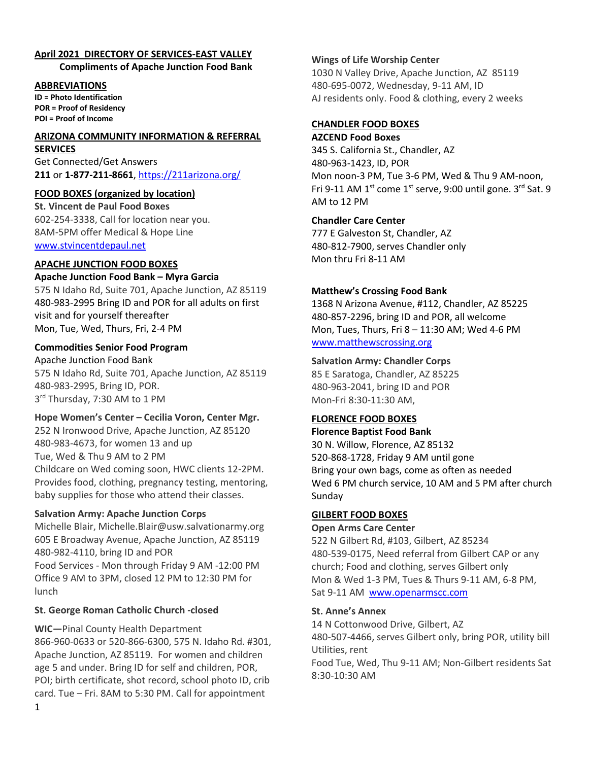## **April 2021 DIRECTORY OF SERVICES-EAST VALLEY**

**Compliments of Apache Junction Food Bank**

#### **ABBREVIATIONS**

**ID = Photo Identification POR = Proof of Residency POI = Proof of Income**

### **ARIZONA COMMUNITY INFORMATION & REFERRAL**

**SERVICES** Get Connected/Get Answers **211** or **1-877-211-8661**, [https://211arizona.org/](about:blank)

### **FOOD BOXES (organized by location)**

**St. Vincent de Paul Food Boxes** 602-254-3338, Call for location near you. 8AM-5PM offer Medical & Hope Line [www.stvincentdepaul.net](about:blank)

### **APACHE JUNCTION FOOD BOXES**

### **Apache Junction Food Bank – Myra Garcia**

575 N Idaho Rd, Suite 701, Apache Junction, AZ 85119 480-983-2995 Bring ID and POR for all adults on first visit and for yourself thereafter Mon, Tue, Wed, Thurs, Fri, 2-4 PM

### **Commodities Senior Food Program**

Apache Junction Food Bank 575 N Idaho Rd, Suite 701, Apache Junction, AZ 85119 480-983-2995, Bring ID, POR. 3<sup>rd</sup> Thursday, 7:30 AM to 1 PM

### **Hope Women's Center – Cecilia Voron, Center Mgr.**

252 N Ironwood Drive, Apache Junction, AZ 85120 480-983-4673, for women 13 and up Tue, Wed & Thu 9 AM to 2 PM Childcare on Wed coming soon, HWC clients 12-2PM. Provides food, clothing, pregnancy testing, mentoring, baby supplies for those who attend their classes.

### **Salvation Army: Apache Junction Corps**

Michelle Blair, Michelle.Blair@usw.salvationarmy.org 605 E Broadway Avenue, Apache Junction, AZ 85119 480-982-4110, bring ID and POR Food Services - Mon through Friday 9 AM -12:00 PM Office 9 AM to 3PM, closed 12 PM to 12:30 PM for lunch

### **St. George Roman Catholic Church -closed**

**WIC—**Pinal County Health Department 866-960-0633 or 520-866-6300, 575 N. Idaho Rd. #301, Apache Junction, AZ 85119. For women and children age 5 and under. Bring ID for self and children, POR, POI; birth certificate, shot record, school photo ID, crib card. Tue – Fri. 8AM to 5:30 PM. Call for appointment

### **Wings of Life Worship Center**

1030 N Valley Drive, Apache Junction, AZ 85119 480-695-0072, Wednesday, 9-11 AM, ID AJ residents only. Food & clothing, every 2 weeks

### **CHANDLER FOOD BOXES**

#### **AZCEND Food Boxes**

345 S. California St., Chandler, AZ 480-963-1423, ID, POR Mon noon-3 PM, Tue 3-6 PM, Wed & Thu 9 AM-noon, Fri 9-11 AM  $1^{\text{st}}$  come  $1^{\text{st}}$  serve, 9:00 until gone. 3<sup>rd</sup> Sat. 9 AM to 12 PM

### **Chandler Care Center**

777 E Galveston St, Chandler, AZ 480-812-7900, serves Chandler only Mon thru Fri 8-11 AM

### **Matthew's Crossing Food Bank**

1368 N Arizona Avenue, #112, Chandler, AZ 85225 480-857-2296, bring ID and POR, all welcome Mon, Tues, Thurs, Fri 8 – 11:30 AM; Wed 4-6 PM [www.matthewscrossing.org](about:blank)

### **Salvation Army: Chandler Corps**

85 E Saratoga, Chandler, AZ 85225 480-963-2041, bring ID and POR Mon-Fri 8:30-11:30 AM,

### **FLORENCE FOOD BOXES**

#### **Florence Baptist Food Bank**

30 N. Willow, Florence, AZ 85132 520-868-1728, Friday 9 AM until gone Bring your own bags, come as often as needed Wed 6 PM church service, 10 AM and 5 PM after church Sunday

### **GILBERT FOOD BOXES**

#### **Open Arms Care Center**

522 N Gilbert Rd, #103, Gilbert, AZ 85234 480-539-0175, Need referral from Gilbert CAP or any church; Food and clothing, serves Gilbert only Mon & Wed 1-3 PM, Tues & Thurs 9-11 AM, 6-8 PM, Sat 9-11 AM www.openarmscc.com

### **St. Anne's Annex**

14 N Cottonwood Drive, Gilbert, AZ 480-507-4466, serves Gilbert only, bring POR, utility bill Utilities, rent Food Tue, Wed, Thu 9-11 AM; Non-Gilbert residents Sat

8:30-10:30 AM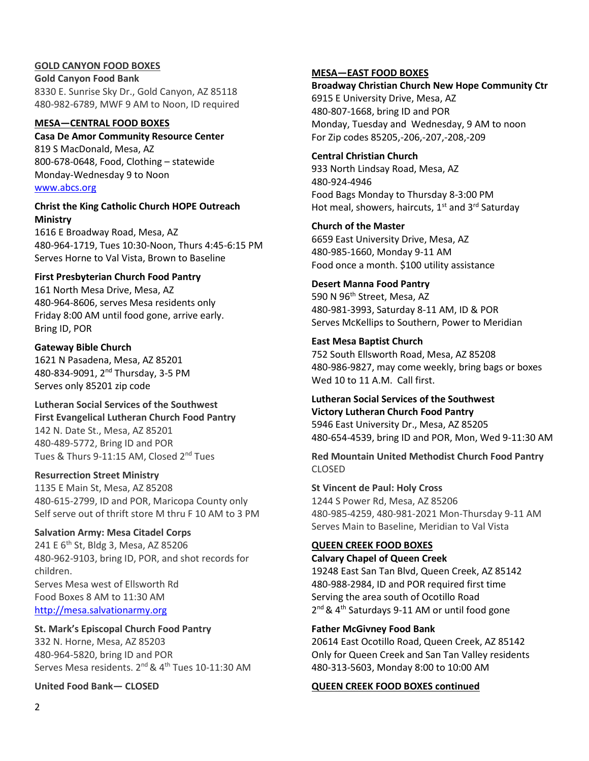### **GOLD CANYON FOOD BOXES**

**Gold Canyon Food Bank** 8330 E. Sunrise Sky Dr., Gold Canyon, AZ 85118 480-982-6789, MWF 9 AM to Noon, ID required

#### **MESA—CENTRAL FOOD BOXES**

#### **Casa De Amor Community Resource Center**

819 S MacDonald, Mesa, AZ 800-678-0648, Food, Clothing – statewide Monday-Wednesday 9 to Noon [www.abcs.org](about:blank)

### **Christ the King Catholic Church HOPE Outreach Ministry**

1616 E Broadway Road, Mesa, AZ 480-964-1719, Tues 10:30-Noon, Thurs 4:45-6:15 PM Serves Horne to Val Vista, Brown to Baseline

### **First Presbyterian Church Food Pantry**

161 North Mesa Drive, Mesa, AZ 480-964-8606, serves Mesa residents only Friday 8:00 AM until food gone, arrive early. Bring ID, POR

#### **Gateway Bible Church**

1621 N Pasadena, Mesa, AZ 85201 480-834-9091, 2nd Thursday, 3-5 PM Serves only 85201 zip code

**Lutheran Social Services of the Southwest First Evangelical Lutheran Church Food Pantry** 142 N. Date St., Mesa, AZ 85201 480-489-5772, Bring ID and POR Tues & Thurs 9-11:15 AM, Closed 2<sup>nd</sup> Tues

### **Resurrection Street Ministry**

1135 E Main St, Mesa, AZ 85208 480-615-2799, ID and POR, Maricopa County only Self serve out of thrift store M thru F 10 AM to 3 PM

### **Salvation Army: Mesa Citadel Corps**

241 E 6<sup>th</sup> St, Bldg 3, Mesa, AZ 85206 480-962-9103, bring ID, POR, and shot records for children. Serves Mesa west of Ellsworth Rd Food Boxes 8 AM to 11:30 AM [http://mesa.salvationarmy.org](about:blank)

**St. Mark's Episcopal Church Food Pantry** 332 N. Horne, Mesa, AZ 85203 480-964-5820, bring ID and POR Serves Mesa residents.  $2^{nd}$  &  $4^{th}$  Tues 10-11:30 AM

### **United Food Bank— CLOSED**

### **MESA—EAST FOOD BOXES**

**Broadway Christian Church New Hope Community Ctr** 6915 E University Drive, Mesa, AZ 480-807-1668, bring ID and POR Monday, Tuesday and Wednesday, 9 AM to noon For Zip codes 85205,-206,-207,-208,-209

**Central Christian Church** 933 North Lindsay Road, Mesa, AZ 480-924-4946 Food Bags Monday to Thursday 8-3:00 PM Hot meal, showers, haircuts,  $1<sup>st</sup>$  and  $3<sup>rd</sup>$  Saturday

**Church of the Master** 6659 East University Drive, Mesa, AZ 480-985-1660, Monday 9-11 AM Food once a month. \$100 utility assistance

## **Desert Manna Food Pantry**

590 N 96<sup>th</sup> Street, Mesa, AZ 480-981-3993, Saturday 8-11 AM, ID & POR Serves McKellips to Southern, Power to Meridian

#### **East Mesa Baptist Church**

752 South Ellsworth Road, Mesa, AZ 85208 480-986-9827, may come weekly, bring bags or boxes Wed 10 to 11 A.M. Call first.

# **Lutheran Social Services of the Southwest**

**Victory Lutheran Church Food Pantry** 5946 East University Dr., Mesa, AZ 85205 480-654-4539, bring ID and POR, Mon, Wed 9-11:30 AM

**Red Mountain United Methodist Church Food Pantry** CLOSED

#### **St Vincent de Paul: Holy Cross**

1244 S Power Rd, Mesa, AZ 85206 480-985-4259, 480-981-2021 Mon-Thursday 9-11 AM Serves Main to Baseline, Meridian to Val Vista

### **QUEEN CREEK FOOD BOXES**

#### **Calvary Chapel of Queen Creek**

19248 East San Tan Blvd, Queen Creek, AZ 85142 480-988-2984, ID and POR required first time Serving the area south of Ocotillo Road 2<sup>nd</sup> & 4<sup>th</sup> Saturdays 9-11 AM or until food gone

#### **Father McGivney Food Bank**

20614 East Ocotillo Road, Queen Creek, AZ 85142 Only for Queen Creek and San Tan Valley residents 480-313-5603, Monday 8:00 to 10:00 AM

### **QUEEN CREEK FOOD BOXES continued**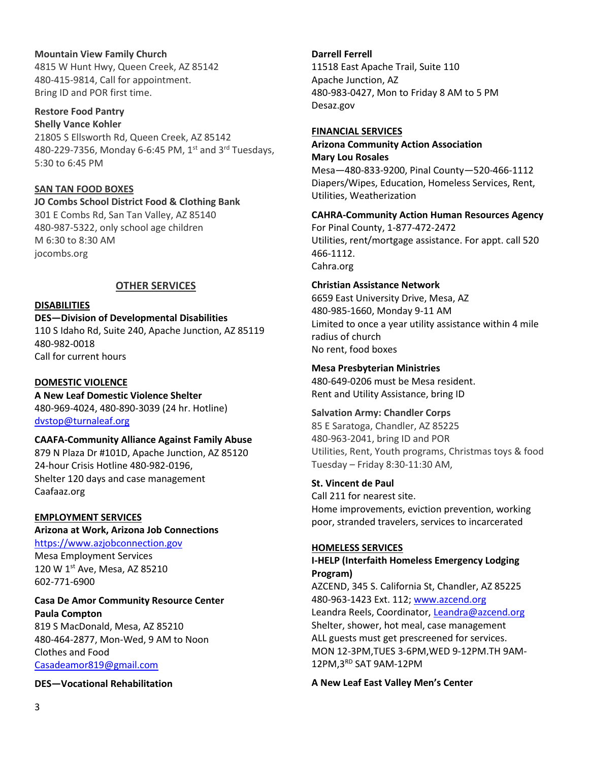### **Mountain View Family Church**

4815 W Hunt Hwy, Queen Creek, AZ 85142 480-415-9814, Call for appointment. Bring ID and POR first time.

#### **Restore Food Pantry Shelly Vance Kohler**

21805 S Ellsworth Rd, Queen Creek, AZ 85142 480-229-7356, Monday 6-6:45 PM,  $1<sup>st</sup>$  and  $3<sup>rd</sup>$  Tuesdays, 5:30 to 6:45 PM

### **SAN TAN FOOD BOXES**

### **JO Combs School District Food & Clothing Bank** 301 E Combs Rd, San Tan Valley, AZ 85140 480-987-5322, only school age children

M 6:30 to 8:30 AM jocombs.org

### **OTHER SERVICES**

### **DISABILITIES**

**DES—Division of Developmental Disabilities**

110 S Idaho Rd, Suite 240, Apache Junction, AZ 85119 480-982-0018 Call for current hours

### **DOMESTIC VIOLENCE**

**A New Leaf Domestic Violence Shelter** 480-969-4024, 480-890-3039 (24 hr. Hotline) [dvstop@turnaleaf.org](about:blank)

### **CAAFA-Community Alliance Against Family Abuse**

879 N Plaza Dr #101D, Apache Junction, AZ 85120 24-hour Crisis Hotline 480-982-0196, Shelter 120 days and case management Caafaaz.org

### **EMPLOYMENT SERVICES**

## **Arizona at Work, Arizona Job Connections**

[https://www.azjobconnection.gov](about:blank) Mesa Employment Services

120 W 1st Ave, Mesa, AZ 85210 602-771-6900

# **Casa De Amor Community Resource Center**

**Paula Compton** 819 S MacDonald, Mesa, AZ 85210 480-464-2877, Mon-Wed, 9 AM to Noon Clothes and Food [Casadeamor819@gmail.com](about:blank)

### **DES—Vocational Rehabilitation**

### **Darrell Ferrell**

11518 East Apache Trail, Suite 110 Apache Junction, AZ 480-983-0427, Mon to Friday 8 AM to 5 PM Desaz.gov

### **FINANCIAL SERVICES**

### **Arizona Community Action Association Mary Lou Rosales**

Mesa—480-833-9200, Pinal County—520-466-1112 Diapers/Wipes, Education, Homeless Services, Rent, Utilities, Weatherization

### **CAHRA-Community Action Human Resources Agency**

For Pinal County, 1-877-472-2472 Utilities, rent/mortgage assistance. For appt. call 520 466-1112. Cahra.org

### **Christian Assistance Network**

6659 East University Drive, Mesa, AZ 480-985-1660, Monday 9-11 AM Limited to once a year utility assistance within 4 mile radius of church No rent, food boxes

### **Mesa Presbyterian Ministries**

480-649-0206 must be Mesa resident. Rent and Utility Assistance, bring ID

### **Salvation Army: Chandler Corps**

85 E Saratoga, Chandler, AZ 85225 480-963-2041, bring ID and POR Utilities, Rent, Youth programs, Christmas toys & food Tuesday – Friday 8:30-11:30 AM,

### **St. Vincent de Paul**

Call 211 for nearest site. Home improvements, eviction prevention, working poor, stranded travelers, services to incarcerated

### **HOMELESS SERVICES**

### **I-HELP (Interfaith Homeless Emergency Lodging Program)**

AZCEND, 345 S. California St, Chandler, AZ 85225 480-963-1423 Ext. 112; [www.azcend.org](about:blank) Leandra Reels, Coordinator[, Leandra@azcend.org](about:blank) Shelter, shower, hot meal, case management ALL guests must get prescreened for services. MON 12-3PM,TUES 3-6PM,WED 9-12PM.TH 9AM-12PM,3RD SAT 9AM-12PM

### **A New Leaf East Valley Men's Center**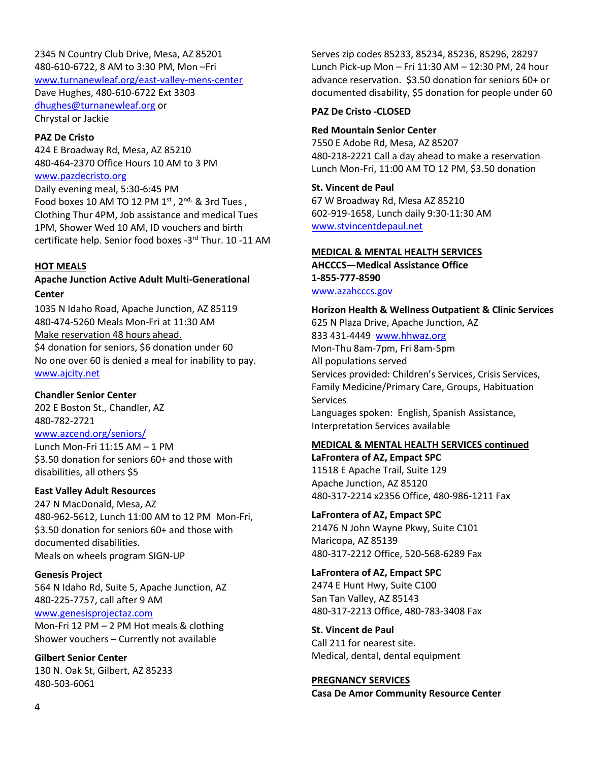2345 N Country Club Drive, Mesa, AZ 85201 480-610-6722, 8 AM to 3:30 PM, Mon –Fri [www.turnanewleaf.org/east-valley-mens-center](about:blank) Dave Hughes, 480-610-6722 Ext 3303 [dhughes@turnanewleaf.org](about:blank) or Chrystal or Jackie

#### **PAZ De Cristo**

424 E Broadway Rd, Mesa, AZ 85210 480-464-2370 Office Hours 10 AM to 3 PM

[www.pazdecristo.org](about:blank)

Daily evening meal, 5:30-6:45 PM Food boxes 10 AM TO 12 PM  $1^{st}$ ,  $2^{nd}$ , & 3rd Tues, Clothing Thur 4PM, Job assistance and medical Tues 1PM, Shower Wed 10 AM, ID vouchers and birth certificate help. Senior food boxes -3 rd Thur. 10 -11 AM

#### **HOT MEALS**

### **Apache Junction Active Adult Multi-Generational Center**

1035 N Idaho Road, Apache Junction, AZ 85119 480-474-5260 Meals Mon-Fri at 11:30 AM Make reservation 48 hours ahead. \$4 donation for seniors, \$6 donation under 60 No one over 60 is denied a meal for inability to pay. [www.ajcity.net](about:blank)

### **Chandler Senior Center**

202 E Boston St., Chandler, AZ 480-782-2721 [www.azcend.org/seniors/](about:blank)

Lunch Mon-Fri 11:15 AM – 1 PM \$3.50 donation for seniors 60+ and those with disabilities, all others \$5

### **East Valley Adult Resources**

247 N MacDonald, Mesa, AZ 480-962-5612, Lunch 11:00 AM to 12 PM Mon-Fri, \$3.50 donation for seniors 60+ and those with documented disabilities. Meals on wheels program SIGN-UP

### **Genesis Project**

564 N Idaho Rd, Suite 5, Apache Junction, AZ 480-225-7757, call after 9 AM [www.genesisprojectaz.com](about:blank) Mon-Fri 12 PM – 2 PM Hot meals & clothing

Shower vouchers – Currently not available

**Gilbert Senior Center** 130 N. Oak St, Gilbert, AZ 85233 480-503-6061

Serves zip codes 85233, 85234, 85236, 85296, 28297 Lunch Pick-up Mon – Fri 11:30 AM – 12:30 PM, 24 hour advance reservation. \$3.50 donation for seniors 60+ or documented disability, \$5 donation for people under 60

### **PAZ De Cristo -CLOSED**

### **Red Mountain Senior Center**

7550 E Adobe Rd, Mesa, AZ 85207 480-218-2221 Call a day ahead to make a reservation Lunch Mon-Fri, 11:00 AM TO 12 PM, \$3.50 donation

### **St. Vincent de Paul**

67 W Broadway Rd, Mesa AZ 85210 602-919-1658, Lunch daily 9:30-11:30 AM [www.stvincentdepaul.net](about:blank)

### **MEDICAL & MENTAL HEALTH SERVICES**

**AHCCCS—Medical Assistance Office 1-855-777-8590** [www.azahcccs.gov](about:blank)

**Horizon Health & Wellness Outpatient & Clinic Services** 625 N Plaza Drive, Apache Junction, AZ 833 431-4449 www.hhwaz.org Mon-Thu 8am-7pm, Fri 8am-5pm All populations served Services provided: Children's Services, Crisis Services, Family Medicine/Primary Care, Groups, Habituation Services Languages spoken: English, Spanish Assistance, Interpretation Services available

## **MEDICAL & MENTAL HEALTH SERVICES continued**

**LaFrontera of AZ, Empact SPC** 11518 E Apache Trail, Suite 129 Apache Junction, AZ 85120 480-317-2214 x2356 Office, 480-986-1211 Fax

### **LaFrontera of AZ, Empact SPC**

21476 N John Wayne Pkwy, Suite C101 Maricopa, AZ 85139 480-317-2212 Office, 520-568-6289 Fax

### **LaFrontera of AZ, Empact SPC**

2474 E Hunt Hwy, Suite C100 San Tan Valley, AZ 85143 480-317-2213 Office, 480-783-3408 Fax

**St. Vincent de Paul** Call 211 for nearest site. Medical, dental, dental equipment

**PREGNANCY SERVICES Casa De Amor Community Resource Center**